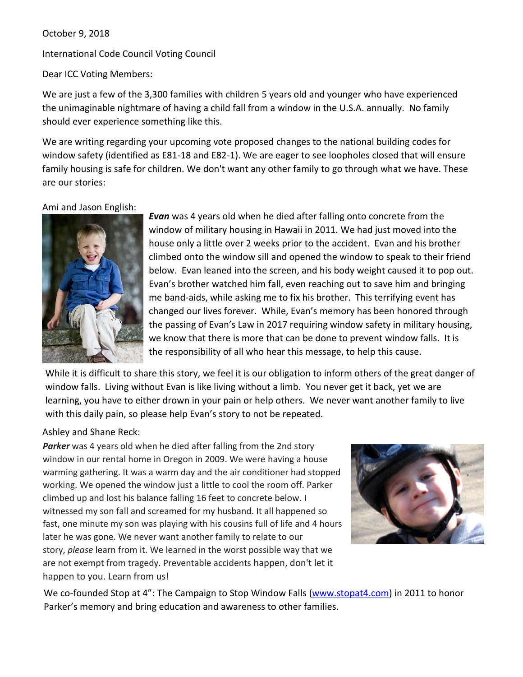## October 9, 2018

International Code Council Voting Council

Dear ICC Voting Members:

We are just a few of the 3,300 families with children 5 years old and younger who have experienced the unimaginable nightmare of having a child fall from a window in the U.S.A. annually. No family should ever experience something like this.

We are writing regarding your upcoming vote proposed changes to the national building codes for window safety (identified as E81-18 and E82-1). We are eager to see loopholes closed that will ensure family housing is safe for children. We don't want any other family to go through what we have. These are our stories:

## Ami and Jason English:



*Evan* was 4 years old when he died after falling onto concrete from the window of military housing in Hawaii in 2011. We had just moved into the house only a little over 2 weeks prior to the accident. Evan and his brother climbed onto the window sill and opened the window to speak to their friend below. Evan leaned into the screen, and his body weight caused it to pop out. Evan's brother watched him fall, even reaching out to save him and bringing me band-aids, while asking me to fix his brother. This terrifying event has changed our lives forever. While, Evan's memory has been honored through the passing of Evan's Law in 2017 requiring window safety in military housing, we know that there is more that can be done to prevent window falls. It is the responsibility of all who hear this message, to help this cause.

While it is difficult to share this story, we feel it is our obligation to inform others of the great danger of window falls. Living without Evan is like living without a limb. You never get it back, yet we are learning, you have to either drown in your pain or help others. We never want another family to live with this daily pain, so please help Evan's story to not be repeated.

## Ashley and Shane Reck:

**Parker** was 4 years old when he died after falling from the 2nd story window in our rental home in Oregon in 2009. We were having a house warming gathering. It was a warm day and the air conditioner had stopped working. We opened the window just a little to cool the room off. Parker climbed up and lost his balance falling 16 feet to concrete below. I witnessed my son fall and screamed for my husband. It all happened so fast, one minute my son was playing with his cousins full of life and 4 hours later he was gone. We never want another family to relate to our story, *please* learn from it. We learned in the worst possible way that we are not exempt from tragedy. Preventable accidents happen, don't let it happen to you. Learn from us!



We co-founded Stop at 4": The Campaign to Stop Window Falls [\(www.stopat4.com\)](http://www.stopat4.com/) in 2011 to honor Parker's memory and bring education and awareness to other families.